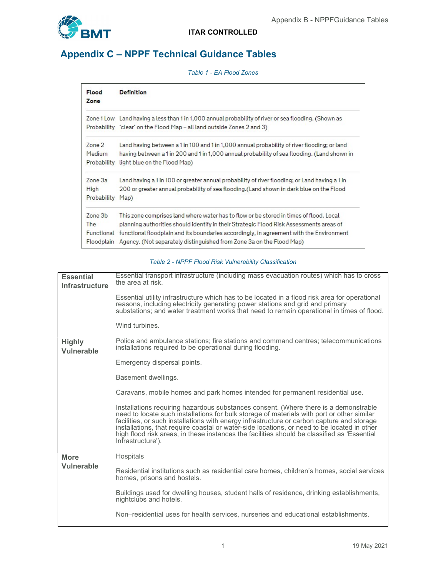

## Appendix C – NPPF Technical Guidance Tables

| Table 1 - EA Flood Zones |  |
|--------------------------|--|
|--------------------------|--|

| <b>Flood</b><br>Zone | <b>Definition</b>                                                                                    |
|----------------------|------------------------------------------------------------------------------------------------------|
|                      | Zone 1 Low Land having a less than 1 in 1,000 annual probability of river or sea flooding. (Shown as |
|                      | Probability 'clear' on the Flood Map - all land outside Zones 2 and 3)                               |
| Zone 2               | Land having between a 1 in 100 and 1 in 1,000 annual probability of river flooding; or land          |
| Medium               | having between a 1 in 200 and 1 in 1,000 annual probability of sea flooding. (Land shown in          |
| Probability          | light blue on the Flood Map)                                                                         |
| Zone 3a              | Land having a 1 in 100 or greater annual probability of river flooding; or Land having a 1 in        |
| High                 | 200 or greater annual probability of sea flooding.(Land shown in dark blue on the Flood              |
| Probability          | Map)                                                                                                 |
| Zone 3b              | This zone comprises land where water has to flow or be stored in times of flood. Local               |
| The                  | planning authorities should identify in their Strategic Flood Risk Assessments areas of              |
| Functional           | functional floodplain and its boundaries accordingly, in agreement with the Environment              |
| Floodplain           | Agency, (Not separately distinguished from Zone 3a on the Flood Map)                                 |

## Table 2 - NPPF Flood Risk Vulnerability Classification

| <b>Essential</b><br>Infrastructure | Essential transport infrastructure (including mass evacuation routes) which has to cross<br>the area at risk.                                                                                                                                                                                                                                                                                                                                                                                       |  |  |  |  |
|------------------------------------|-----------------------------------------------------------------------------------------------------------------------------------------------------------------------------------------------------------------------------------------------------------------------------------------------------------------------------------------------------------------------------------------------------------------------------------------------------------------------------------------------------|--|--|--|--|
|                                    | Essential utility infrastructure which has to be located in a flood risk area for operational<br>reasons, including electricity generating power stations and grid and primary<br>substations; and water treatment works that need to remain operational in times of flood.                                                                                                                                                                                                                         |  |  |  |  |
|                                    | Wind turbines.                                                                                                                                                                                                                                                                                                                                                                                                                                                                                      |  |  |  |  |
| <b>Highly</b><br><b>Vulnerable</b> | Police and ambulance stations; fire stations and command centres; telecommunications<br>installations required to be operational during flooding.                                                                                                                                                                                                                                                                                                                                                   |  |  |  |  |
|                                    | Emergency dispersal points.                                                                                                                                                                                                                                                                                                                                                                                                                                                                         |  |  |  |  |
|                                    | Basement dwellings.                                                                                                                                                                                                                                                                                                                                                                                                                                                                                 |  |  |  |  |
|                                    | Caravans, mobile homes and park homes intended for permanent residential use.                                                                                                                                                                                                                                                                                                                                                                                                                       |  |  |  |  |
|                                    | Installations requiring hazardous substances consent. (Where there is a demonstrable<br>need to locate such installations for bulk storage of materials with port or other similar<br>facilities, or such installations with energy infrastructure or carbon capture and storage<br>installations, that require coastal or water-side locations, or need to be located in other<br>high flood risk areas, in these instances the facilities should be classified as 'Essential<br>Infrastructure'). |  |  |  |  |
| <b>More</b>                        | Hospitals                                                                                                                                                                                                                                                                                                                                                                                                                                                                                           |  |  |  |  |
| Vulnerable                         | Residential institutions such as residential care homes, children's homes, social services<br>homes, prisons and hostels.                                                                                                                                                                                                                                                                                                                                                                           |  |  |  |  |
|                                    | Buildings used for dwelling houses, student halls of residence, drinking establishments,<br>nightclubs and hotels.                                                                                                                                                                                                                                                                                                                                                                                  |  |  |  |  |
|                                    | Non–residential uses for health services, nurseries and educational establishments.                                                                                                                                                                                                                                                                                                                                                                                                                 |  |  |  |  |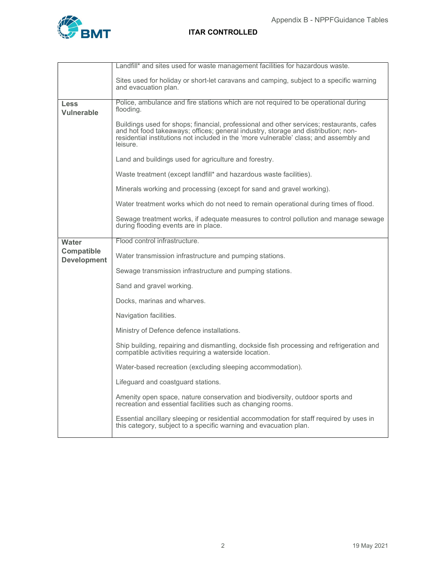

|                                         | Landfill* and sites used for waste management facilities for hazardous waste.                                                                                                                                                                                                       |
|-----------------------------------------|-------------------------------------------------------------------------------------------------------------------------------------------------------------------------------------------------------------------------------------------------------------------------------------|
|                                         | Sites used for holiday or short-let caravans and camping, subject to a specific warning<br>and evacuation plan.                                                                                                                                                                     |
| <b>Less</b><br><b>Vulnerable</b>        | Police, ambulance and fire stations which are not required to be operational during<br>flooding.                                                                                                                                                                                    |
|                                         | Buildings used for shops; financial, professional and other services; restaurants, cafes<br>and hot food takeaways; offices; general industry, storage and distribution; non-<br>residential institutions not included in the 'more vulnerable' class; and assembly and<br>leisure. |
|                                         | Land and buildings used for agriculture and forestry.                                                                                                                                                                                                                               |
|                                         | Waste treatment (except landfill* and hazardous waste facilities).                                                                                                                                                                                                                  |
|                                         | Minerals working and processing (except for sand and gravel working).                                                                                                                                                                                                               |
|                                         | Water treatment works which do not need to remain operational during times of flood.                                                                                                                                                                                                |
|                                         | Sewage treatment works, if adequate measures to control pollution and manage sewage<br>during flooding events are in place.                                                                                                                                                         |
| Water                                   | Flood control infrastructure.                                                                                                                                                                                                                                                       |
| <b>Compatible</b><br><b>Development</b> | Water transmission infrastructure and pumping stations.                                                                                                                                                                                                                             |
|                                         | Sewage transmission infrastructure and pumping stations.                                                                                                                                                                                                                            |
|                                         | Sand and gravel working.                                                                                                                                                                                                                                                            |
|                                         | Docks, marinas and wharves.                                                                                                                                                                                                                                                         |
|                                         | Navigation facilities.                                                                                                                                                                                                                                                              |
|                                         | Ministry of Defence defence installations.                                                                                                                                                                                                                                          |
|                                         | Ship building, repairing and dismantling, dockside fish processing and refrigeration and<br>compatible activities requiring a waterside location.                                                                                                                                   |
|                                         | Water-based recreation (excluding sleeping accommodation).                                                                                                                                                                                                                          |
|                                         | Lifeguard and coastguard stations.                                                                                                                                                                                                                                                  |
|                                         | Amenity open space, nature conservation and biodiversity, outdoor sports and<br>recreation and essential facilities such as changing rooms.                                                                                                                                         |
|                                         | Essential ancillary sleeping or residential accommodation for staff required by uses in<br>this category, subject to a specific warning and evacuation plan.                                                                                                                        |
|                                         |                                                                                                                                                                                                                                                                                     |